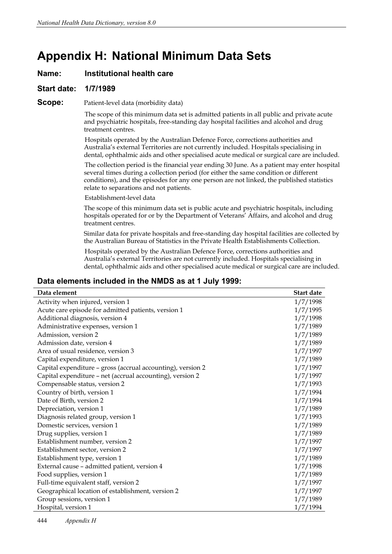# **Appendix H: National Minimum Data Sets**

## **Name: Institutional health care**

#### **Start date: 1/7/1989**

#### **Scope:** Patient-level data (morbidity data)

The scope of this minimum data set is admitted patients in all public and private acute and psychiatric hospitals, free-standing day hospital facilities and alcohol and drug treatment centres.

Hospitals operated by the Australian Defence Force, corrections authorities and Australia's external Territories are not currently included. Hospitals specialising in dental, ophthalmic aids and other specialised acute medical or surgical care are included.

The collection period is the financial year ending 30 June. As a patient may enter hospital several times during a collection period (for either the same condition or different conditions), and the episodes for any one person are not linked, the published statistics relate to separations and not patients.

Establishment-level data

The scope of this minimum data set is public acute and psychiatric hospitals, including hospitals operated for or by the Department of Veterans' Affairs, and alcohol and drug treatment centres.

Similar data for private hospitals and free-standing day hospital facilities are collected by the Australian Bureau of Statistics in the Private Health Establishments Collection.

Hospitals operated by the Australian Defence Force, corrections authorities and Australia's external Territories are not currently included. Hospitals specialising in dental, ophthalmic aids and other specialised acute medical or surgical care are included.

#### **Data elements included in the NMDS as at 1 July 1999:**

| Data element                                                | Start date |
|-------------------------------------------------------------|------------|
| Activity when injured, version 1                            | 1/7/1998   |
| Acute care episode for admitted patients, version 1         | 1/7/1995   |
| Additional diagnosis, version 4                             | 1/7/1998   |
| Administrative expenses, version 1                          | 1/7/1989   |
| Admission, version 2                                        | 1/7/1989   |
| Admission date, version 4                                   | 1/7/1989   |
| Area of usual residence, version 3                          | 1/7/1997   |
| Capital expenditure, version 1                              | 1/7/1989   |
| Capital expenditure - gross (accrual accounting), version 2 | 1/7/1997   |
| Capital expenditure - net (accrual accounting), version 2   | 1/7/1997   |
| Compensable status, version 2                               | 1/7/1993   |
| Country of birth, version 1                                 | 1/7/1994   |
| Date of Birth, version 2                                    | 1/7/1994   |
| Depreciation, version 1                                     | 1/7/1989   |
| Diagnosis related group, version 1                          | 1/7/1993   |
| Domestic services, version 1                                | 1/7/1989   |
| Drug supplies, version 1                                    | 1/7/1989   |
| Establishment number, version 2                             | 1/7/1997   |
| Establishment sector, version 2                             | 1/7/1997   |
| Establishment type, version 1                               | 1/7/1989   |
| External cause - admitted patient, version 4                | 1/7/1998   |
| Food supplies, version 1                                    | 1/7/1989   |
| Full-time equivalent staff, version 2                       | 1/7/1997   |
| Geographical location of establishment, version 2           | 1/7/1997   |
| Group sessions, version 1                                   | 1/7/1989   |
| Hospital, version 1                                         | 1/7/1994   |

444 *Appendix H*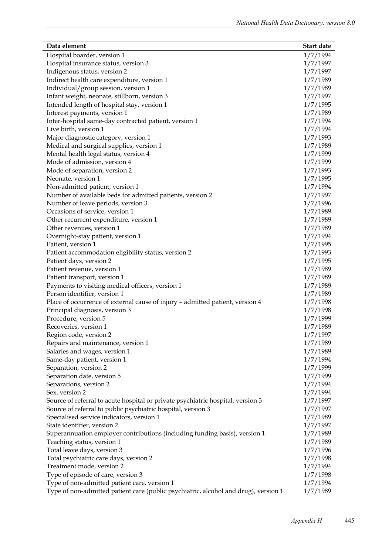| Data element                                                                        | Start date |
|-------------------------------------------------------------------------------------|------------|
| Hospital boarder, version 1                                                         | 1/7/1994   |
| Hospital insurance status, version 3                                                | 1/7/1997   |
| Indigenous status, version 2                                                        | 1/7/1997   |
| Indirect health care expenditure, version 1                                         | 1/7/1989   |
| Individual/group session, version 1                                                 | 1/7/1989   |
| Infant weight, neonate, stillborn, version 3                                        | 1/7/1997   |
| Intended length of hospital stay, version 1                                         | 1/7/1995   |
| Interest payments, version 1                                                        | 1/7/1989   |
| Inter-hospital same-day contracted patient, version 1                               | 1/7/1994   |
| Live birth, version 1                                                               | 1/7/1994   |
| Major diagnostic category, version 1                                                | 1/7/1993   |
| Medical and surgical supplies, version 1                                            | 1/7/1989   |
| Mental health legal status, version 4                                               | 1/7/1999   |
| Mode of admission, version 4                                                        | 1/7/1999   |
| Mode of separation, version 2                                                       | 1/7/1993   |
| Neonate, version 1                                                                  | 1/7/1995   |
| Non-admitted patient, version 1                                                     | 1/7/1994   |
| Number of available beds for admitted patients, version 2                           | 1/7/1997   |
| Number of leave periods, version 3                                                  | 1/7/1996   |
| Occasions of service, version 1                                                     | 1/7/1989   |
| Other recurrent expenditure, version 1                                              | 1/7/1989   |
| Other revenues, version 1                                                           | 1/7/1989   |
| Overnight-stay patient, version 1                                                   | 1/7/1994   |
| Patient, version 1                                                                  | 1/7/1995   |
| Patient accommodation eligibility status, version 2                                 | 1/7/1993   |
| Patient days, version 2                                                             | 1/7/1995   |
| Patient revenue, version 1                                                          | 1/7/1989   |
| Patient transport, version 1                                                        | 1/7/1989   |
| Payments to visiting medical officers, version 1                                    | 1/7/1989   |
| Person identifier, version 1                                                        | 1/7/1989   |
| Place of occurrence of external cause of injury - admitted patient, version 4       | 1/7/1998   |
| Principal diagnosis, version 3                                                      | 1/7/1998   |
| Procedure, version 5                                                                | 1/7/1999   |
| Recoveries, version 1                                                               | 1/7/1989   |
| Region code, version 2                                                              | 1/7/1997   |
| Repairs and maintenance, version 1                                                  | 1/7/1989   |
| Salaries and wages, version 1                                                       | 1/7/1989   |
| Same-day patient, version 1                                                         | 1/7/1994   |
| Separation, version 2                                                               | 1/7/1999   |
| Separation date, version 5                                                          | 1/7/1999   |
| Separations, version 2                                                              | 1/7/1994   |
| Sex, version 2                                                                      | 1/7/1994   |
| Source of referral to acute hospital or private psychiatric hospital, version 3     | 1/7/1997   |
| Source of referral to public psychiatric hospital, version 3                        | 1/7/1997   |
| Specialised service indicators, version 1                                           | 1/7/1989   |
| State identifier, version 2                                                         | 1/7/1997   |
| Superannuation employer contributions (including funding basis), version 1          | 1/7/1989   |
| Teaching status, version 1                                                          | 1/7/1989   |
| Total leave days, version 3                                                         | 1/7/1996   |
| Total psychiatric care days, version 2                                              | 1/7/1998   |
| Treatment mode, version 2                                                           | 1/7/1994   |
| Type of episode of care, version 3                                                  | 1/7/1998   |
| Type of non-admitted patient care, version 1                                        | 1/7/1994   |
| Type of non-admitted patient care (public psychiatric, alcohol and drug), version 1 | 1/7/1989   |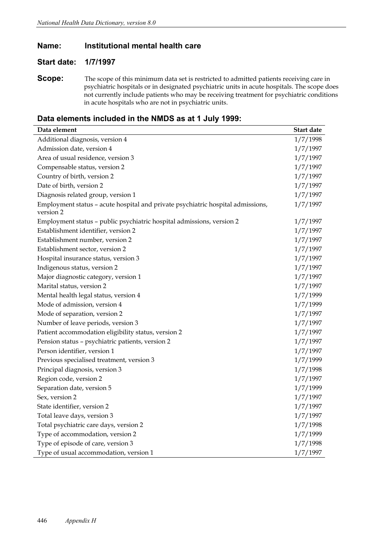## **Name: Institutional mental health care**

## **Start date: 1/7/1997**

**Scope:** The scope of this minimum data set is restricted to admitted patients receiving care in psychiatric hospitals or in designated psychiatric units in acute hospitals. The scope does not currently include patients who may be receiving treatment for psychiatric conditions in acute hospitals who are not in psychiatric units.

| Data element                                                                                 | Start date |
|----------------------------------------------------------------------------------------------|------------|
| Additional diagnosis, version 4                                                              | 1/7/1998   |
| Admission date, version 4                                                                    | 1/7/1997   |
| Area of usual residence, version 3                                                           | 1/7/1997   |
| Compensable status, version 2                                                                | 1/7/1997   |
| Country of birth, version 2                                                                  | 1/7/1997   |
| Date of birth, version 2                                                                     | 1/7/1997   |
| Diagnosis related group, version 1                                                           | 1/7/1997   |
| Employment status - acute hospital and private psychiatric hospital admissions,<br>version 2 | 1/7/1997   |
| Employment status - public psychiatric hospital admissions, version 2                        | 1/7/1997   |
| Establishment identifier, version 2                                                          | 1/7/1997   |
| Establishment number, version 2                                                              | 1/7/1997   |
| Establishment sector, version 2                                                              | 1/7/1997   |
| Hospital insurance status, version 3                                                         | 1/7/1997   |
| Indigenous status, version 2                                                                 | 1/7/1997   |
| Major diagnostic category, version 1                                                         | 1/7/1997   |
| Marital status, version 2                                                                    | 1/7/1997   |
| Mental health legal status, version 4                                                        | 1/7/1999   |
| Mode of admission, version 4                                                                 | 1/7/1999   |
| Mode of separation, version 2                                                                | 1/7/1997   |
| Number of leave periods, version 3                                                           | 1/7/1997   |
| Patient accommodation eligibility status, version 2                                          | 1/7/1997   |
| Pension status - psychiatric patients, version 2                                             | 1/7/1997   |
| Person identifier, version 1                                                                 | 1/7/1997   |
| Previous specialised treatment, version 3                                                    | 1/7/1999   |
| Principal diagnosis, version 3                                                               | 1/7/1998   |
| Region code, version 2                                                                       | 1/7/1997   |
| Separation date, version 5                                                                   | 1/7/1999   |
| Sex, version 2                                                                               | 1/7/1997   |
| State identifier, version 2                                                                  | 1/7/1997   |
| Total leave days, version 3                                                                  | 1/7/1997   |
| Total psychiatric care days, version 2                                                       | 1/7/1998   |
| Type of accommodation, version 2                                                             | 1/7/1999   |
| Type of episode of care, version 3                                                           | 1/7/1998   |
| Type of usual accommodation, version 1                                                       | 1/7/1997   |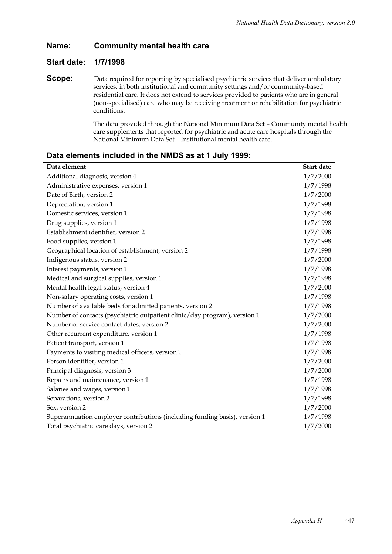## **Name: Community mental health care**

## **Start date: 1/7/1998**

**Scope:** Data required for reporting by specialised psychiatric services that deliver ambulatory services, in both institutional and community settings and/or community-based residential care. It does not extend to services provided to patients who are in general (non-specialised) care who may be receiving treatment or rehabilitation for psychiatric conditions.

> The data provided through the National Minimum Data Set – Community mental health care supplements that reported for psychiatric and acute care hospitals through the National Minimum Data Set – Institutional mental health care.

| Data element                                                               | Start date |
|----------------------------------------------------------------------------|------------|
| Additional diagnosis, version 4                                            | 1/7/2000   |
| Administrative expenses, version 1                                         | 1/7/1998   |
| Date of Birth, version 2                                                   | 1/7/2000   |
| Depreciation, version 1                                                    | 1/7/1998   |
| Domestic services, version 1                                               | 1/7/1998   |
| Drug supplies, version 1                                                   | 1/7/1998   |
| Establishment identifier, version 2                                        | 1/7/1998   |
| Food supplies, version 1                                                   | 1/7/1998   |
| Geographical location of establishment, version 2                          | 1/7/1998   |
| Indigenous status, version 2                                               | 1/7/2000   |
| Interest payments, version 1                                               | 1/7/1998   |
| Medical and surgical supplies, version 1                                   | 1/7/1998   |
| Mental health legal status, version 4                                      | 1/7/2000   |
| Non-salary operating costs, version 1                                      | 1/7/1998   |
| Number of available beds for admitted patients, version 2                  | 1/7/1998   |
| Number of contacts (psychiatric outpatient clinic/day program), version 1  | 1/7/2000   |
| Number of service contact dates, version 2                                 | 1/7/2000   |
| Other recurrent expenditure, version 1                                     | 1/7/1998   |
| Patient transport, version 1                                               | 1/7/1998   |
| Payments to visiting medical officers, version 1                           | 1/7/1998   |
| Person identifier, version 1                                               | 1/7/2000   |
| Principal diagnosis, version 3                                             | 1/7/2000   |
| Repairs and maintenance, version 1                                         | 1/7/1998   |
| Salaries and wages, version 1                                              | 1/7/1998   |
| Separations, version 2                                                     | 1/7/1998   |
| Sex, version 2                                                             | 1/7/2000   |
| Superannuation employer contributions (including funding basis), version 1 | 1/7/1998   |
| Total psychiatric care days, version 2                                     | 1/7/2000   |
|                                                                            |            |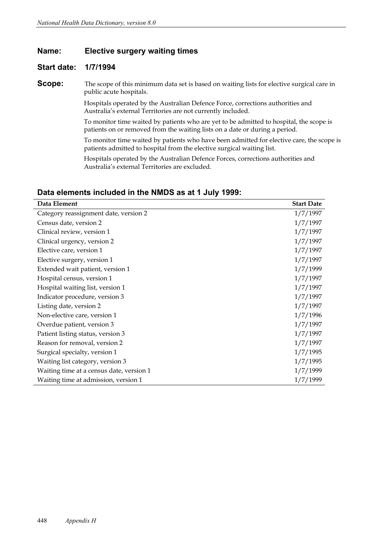#### **Name: Elective surgery waiting times**

## **Start date: 1/7/1994**

**Scope:** The scope of this minimum data set is based on waiting lists for elective surgical care in public acute hospitals.

> Hospitals operated by the Australian Defence Force, corrections authorities and Australia's external Territories are not currently included.

To monitor time waited by patients who are yet to be admitted to hospital, the scope is patients on or removed from the waiting lists on a date or during a period.

To monitor time waited by patients who have been admitted for elective care, the scope is patients admitted to hospital from the elective surgical waiting list.

Hospitals operated by the Australian Defence Forces, corrections authorities and Australia's external Territories are excluded.

| Data Element                             | <b>Start Date</b> |
|------------------------------------------|-------------------|
| Category reassignment date, version 2    | 1/7/1997          |
| Census date, version 2                   | 1/7/1997          |
| Clinical review, version 1               | 1/7/1997          |
| Clinical urgency, version 2              | 1/7/1997          |
| Elective care, version 1                 | 1/7/1997          |
| Elective surgery, version 1              | 1/7/1997          |
| Extended wait patient, version 1         | 1/7/1999          |
| Hospital census, version 1               | 1/7/1997          |
| Hospital waiting list, version 1         | 1/7/1997          |
| Indicator procedure, version 3           | 1/7/1997          |
| Listing date, version 2                  | 1/7/1997          |
| Non-elective care, version 1             | 1/7/1996          |
| Overdue patient, version 3               | 1/7/1997          |
| Patient listing status, version 3        | 1/7/1997          |
| Reason for removal, version 2            | 1/7/1997          |
| Surgical specialty, version 1            | 1/7/1995          |
| Waiting list category, version 3         | 1/7/1995          |
| Waiting time at a census date, version 1 | 1/7/1999          |
| Waiting time at admission, version 1     | 1/7/1999          |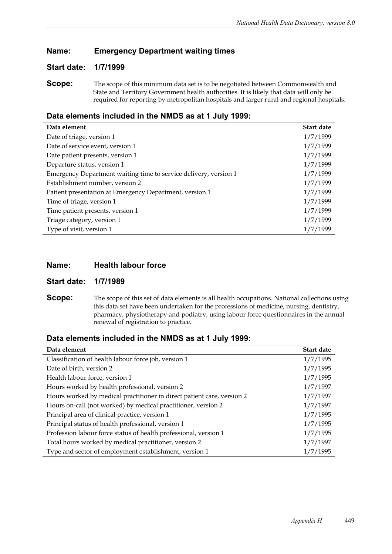# **Name: Emergency Department waiting times**

## **Start date: 1/7/1999**

**Scope:** The scope of this minimum data set is to be negotiated between Commonwealth and State and Territory Government health authorities. It is likely that data will only be required for reporting by metropolitan hospitals and larger rural and regional hospitals.

## **Data elements included in the NMDS as at 1 July 1999:**

| Data element                                                     | Start date |
|------------------------------------------------------------------|------------|
| Date of triage, version 1                                        | 1/7/1999   |
| Date of service event, version 1                                 | 1/7/1999   |
| Date patient presents, version 1                                 | 1/7/1999   |
| Departure status, version 1                                      | 1/7/1999   |
| Emergency Department waiting time to service delivery, version 1 | 1/7/1999   |
| Establishment number, version 2                                  | 1/7/1999   |
| Patient presentation at Emergency Department, version 1          | 1/7/1999   |
| Time of triage, version 1                                        | 1/7/1999   |
| Time patient presents, version 1                                 | 1/7/1999   |
| Triage category, version 1                                       | 1/7/1999   |
| Type of visit, version 1                                         | 1/7/1999   |

## **Name: Health labour force**

**Start date: 1/7/1989**

**Scope:** The scope of this set of data elements is all health occupations. National collections using this data set have been undertaken for the professions of medicine, nursing, dentistry, pharmacy, physiotherapy and podiatry, using labour force questionnaires in the annual renewal of registration to practice.

| Data element                                                           | Start date |
|------------------------------------------------------------------------|------------|
|                                                                        |            |
| Classification of health labour force job, version 1                   | 1/7/1995   |
| Date of birth, version 2                                               | 1/7/1995   |
| Health labour force, version 1                                         | 1/7/1995   |
| Hours worked by health professional, version 2                         | 1/7/1997   |
| Hours worked by medical practitioner in direct patient care, version 2 | 1/7/1997   |
| Hours on-call (not worked) by medical practitioner, version 2          | 1/7/1997   |
| Principal area of clinical practice, version 1                         | 1/7/1995   |
| Principal status of health professional, version 1                     | 1/7/1995   |
| Profession labour force status of health professional, version 1       | 1/7/1995   |
| Total hours worked by medical practitioner, version 2                  | 1/7/1997   |
| Type and sector of employment establishment, version 1                 | 1/7/1995   |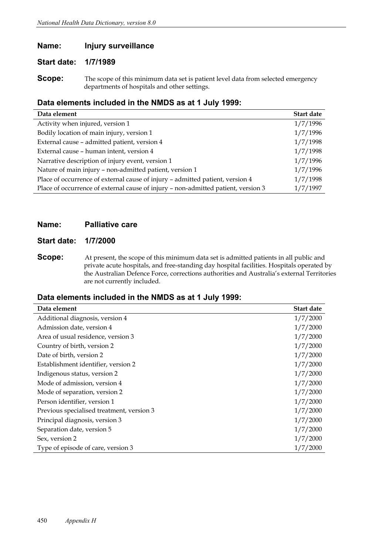# **Name: Injury surveillance**

## **Start date: 1/7/1989**

**Scope:** The scope of this minimum data set is patient level data from selected emergency departments of hospitals and other settings.

# **Data elements included in the NMDS as at 1 July 1999:**

| Data element                                                                      | Start date |
|-----------------------------------------------------------------------------------|------------|
| Activity when injured, version 1                                                  | 1/7/1996   |
| Bodily location of main injury, version 1                                         | 1/7/1996   |
| External cause - admitted patient, version 4                                      | 1/7/1998   |
| External cause - human intent, version 4                                          | 1/7/1998   |
| Narrative description of injury event, version 1                                  | 1/7/1996   |
| Nature of main injury - non-admitted patient, version 1                           | 1/7/1996   |
| Place of occurrence of external cause of injury - admitted patient, version 4     | 1/7/1998   |
| Place of occurrence of external cause of injury - non-admitted patient, version 3 | 1/7/1997   |

#### **Name: Palliative care**

#### **Start date: 1/7/2000**

**Scope:** At present, the scope of this minimum data set is admitted patients in all public and private acute hospitals, and free-standing day hospital facilities. Hospitals operated by the Australian Defence Force, corrections authorities and Australia's external Territories are not currently included.

| Data element                              | <b>Start date</b> |
|-------------------------------------------|-------------------|
| Additional diagnosis, version 4           | 1/7/2000          |
| Admission date, version 4                 | 1/7/2000          |
| Area of usual residence, version 3        | 1/7/2000          |
| Country of birth, version 2               | 1/7/2000          |
| Date of birth, version 2                  | 1/7/2000          |
| Establishment identifier, version 2       | 1/7/2000          |
| Indigenous status, version 2              | 1/7/2000          |
| Mode of admission, version 4              | 1/7/2000          |
| Mode of separation, version 2             | 1/7/2000          |
| Person identifier, version 1              | 1/7/2000          |
| Previous specialised treatment, version 3 | 1/7/2000          |
| Principal diagnosis, version 3            | 1/7/2000          |
| Separation date, version 5                | 1/7/2000          |
| Sex, version 2                            | 1/7/2000          |
| Type of episode of care, version 3        | 1/7/2000          |